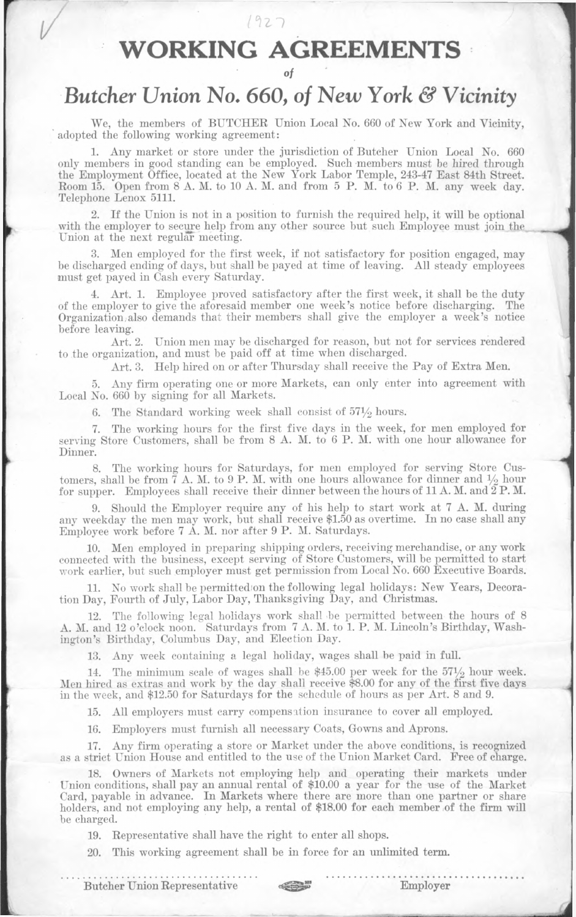## **WORKING AGREEMENTS**

*Ozi*

## *Butcher Union No. 660, of New York & Vicinity*

We, the members of BUTCHER Union Local No. 660 of New York and Vicinity, adopted the following working agreement:

1. Any market or store under the jurisdiction of Butcher Union Local No. 660 only members in good standing can be employed. Such members must be hired through the Employment Office, located at the New York Labor Temple, 243-47 East 84th Street. Room 15. Open from 8 A. M. to 10 A. M. and from 5 P. M. to 6 P. M. any week day. Telephone Lenox 5111.

If the Union is not in a position to furnish the required help, it will be optional with the employer to secure help from any other source but such Employee must join the Union at the next regular meeting.

3. Men employed for the first week, if not satisfactory for position engaged, may be discharged ending of days, but shall be payed at time of leaving. All steady employees must get payed in Cash every Saturday.

4. Art. 1. Employee proved satisfactory after the first week, it shall be the duty of the employer to give the aforesaid member one week's notice before discharging. The Organization,also demands that their members shall give the employer a week's notice before leaving.

Art. 2. Union men may be discharged for reason, but not for services rendered to the organization, and must be paid off at time when discharged.

Art. 3. Help hired on or after Thursday shall receive the Pay of Extra Men.

5. Any firm operating one or more Markets, can only enter into agreement with Local No. 660 by signing for all Markets.

6. The Standard working week shall consist of  $57\frac{1}{2}$  hours.

7. The working hours for the first five days in the week, for men employed for serving Store Customers, shall be from 8 A. M. to 6 P. M. with one hour allowance for Dinner.

8. The working hours for Saturdays, for men employed for serving Store Customers, shall be from  $\overline{7}$  A. M. to 9 P. M. with one hours allowance for dinner and  $\frac{1}{2}$  hour for supper. Employees shall receive their dinner between the hours of 11 A.M. and  $\overline{2}P$ .M.

9. Should the Employer require any of his help to start work at 7 A. M. during any weekday the men may work, but shall receive \$1.50 as overtime. In no case shall any Employee work before 7 A. M. nor after 9 P. M. Saturdays.

10. Men employed in preparing shipping orders, receiving merchandise, or any work connected with the business, except serving of Store Customers, will be permitted to start work earlier, but such employer must get permission from Local No. 660 Executive Boards.

11. No work shall be permittedion the following legal holidays: New Years, Decoration Day, Fourth of July, Labor Day, Thanksgiving Day, and Christmas.

12. The following legal holidays work shall be permitted between the hours of 8 A. M. and 12 o'clock noon. Saturdays from 7 A. M. to 1. P. M. Lincoln's Birthday, Washington's Birthday, Columbus Day, and Election Day.

13. Any week containing a legal holiday, wages shall be paid in full.

The minimum scale of wages shall be  $$45.00$  per week for the  $57\frac{1}{2}$  hour week. Men hired as extras and work by the day shall receive \$8.00 for any of the first five days in the week, and \$12.50 for Saturdays for the schedule of hours as per Art. 8 and 9.

15. All employers must carry compensation insurance to cover all employed.

16. Employers must furnish all necessary Coats, Gowns and Aprons.

17. Any firm operating a store or Market under the above conditions, is recognized as a strict Union House and entitled to the use of the Union Market Card. Free of charge.

18. Owners of Markets not employing help and operating their markets under LTnion conditions, shall pay an annual rental of \$10.00 a year for the use of the Market Card, payable in advance. In Markets where there are more than one partner or share holders, and not employing any help, a rental of \$18.00 for each member of the firm will be charged.

19. Representative shall have the right to enter all shops.

20. This working agreement shall be in force for an unlimited term.

Butcher Union Representative Employer



*of*